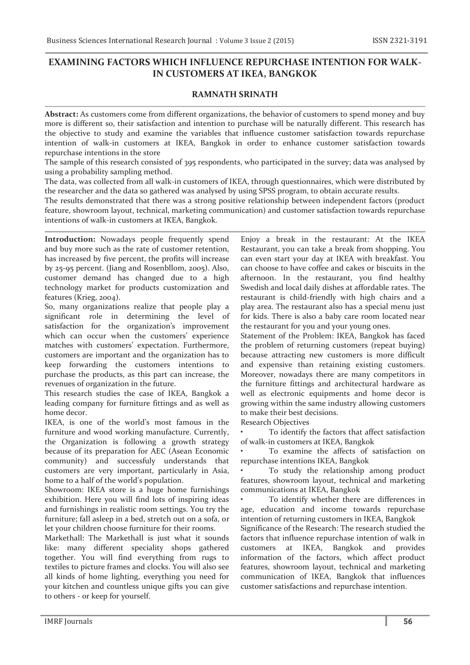# **EXAMINING FACTORS WHICH INFLUENCE REPURCHASE INTENTION FOR WALK-IN CUSTOMERS AT IKEA, BANGKOK**

## **RAMNATH SRINATH**

**Abstract:** As customers come from different organizations, the behavior of customers to spend money and buy more is different so, their satisfaction and intention to purchase will be naturally different. This research has the objective to study and examine the variables that influence customer satisfaction towards repurchase intention of walk-in customers at IKEA, Bangkok in order to enhance customer satisfaction towards repurchase intentions in the store

The sample of this research consisted of 395 respondents, who participated in the survey; data was analysed by using a probability sampling method.

The data, was collected from all walk-in customers of IKEA, through questionnaires, which were distributed by the researcher and the data so gathered was analysed by using SPSS program, to obtain accurate results.

The results demonstrated that there was a strong positive relationship between independent factors (product feature, showroom layout, technical, marketing communication) and customer satisfaction towards repurchase intentions of walk-in customers at IKEA, Bangkok.

**Introduction:** Nowadays people frequently spend and buy more such as the rate of customer retention, has increased by five percent, the profits will increase by 25-95 percent. (Jiang and Rosenbllom, 2005). Also, customer demand has changed due to a high technology market for products customization and features (Krieg, 2004).

So, many organizations realize that people play a significant role in determining the level of satisfaction for the organization's improvement which can occur when the customers' experience matches with customers' expectation. Furthermore, customers are important and the organization has to keep forwarding the customers intentions to purchase the products, as this part can increase, the revenues of organization in the future.

This research studies the case of IKEA, Bangkok a leading company for furniture fittings and as well as home decor.

IKEA, is one of the world's most famous in the furniture and wood working manufacture. Currently, the Organization is following a growth strategy because of its preparation for AEC (Asean Economic community) and successfuly understands that customers are very important, particularly in Asia, home to a half of the world's population.

Showroom: IKEA store is a huge home furnishings exhibition. Here you will find lots of inspiring ideas and furnishings in realistic room settings. You try the furniture; fall asleep in a bed, stretch out on a sofa, or let your children choose furniture for their rooms.

Markethall: The Markethall is just what it sounds like: many different speciality shops gathered together. You will find everything from rugs to textiles to picture frames and clocks. You will also see all kinds of home lighting, everything you need for your kitchen and countless unique gifts you can give to others - or keep for yourself.

Enjoy a break in the restaurant: At the IKEA Restaurant, you can take a break from shopping. You can even start your day at IKEA with breakfast. You can choose to have coffee and cakes or biscuits in the afternoon. In the restaurant, you find healthy Swedish and local daily dishes at affordable rates. The restaurant is child-friendly with high chairs and a play area. The restaurant also has a special menu just for kids. There is also a baby care room located near the restaurant for you and your young ones.

Statement of the Problem: IKEA, Bangkok has faced the problem of returning customers (repeat buying) because attracting new customers is more difficult and expensive than retaining existing customers. Moreover, nowadays there are many competitors in the furniture fittings and architectural hardware as well as electronic equipments and home decor is growing within the same industry allowing customers to make their best decisions.

Research Objectives

To identify the factors that affect satisfaction of walk-in customers at IKEA, Bangkok

To examine the affects of satisfaction on repurchase intentions IKEA, Bangkok

To study the relationship among product features, showroom layout, technical and marketing communications at IKEA, Bangkok

To identify whether there are differences in age, education and income towards repurchase intention of returning customers in IKEA, Bangkok

Significance of the Research: The research studied the factors that influence repurchase intention of walk in customers at IKEA, Bangkok and provides information of the factors, which affect product features, showroom layout, technical and marketing communication of IKEA, Bangkok that influences customer satisfactions and repurchase intention.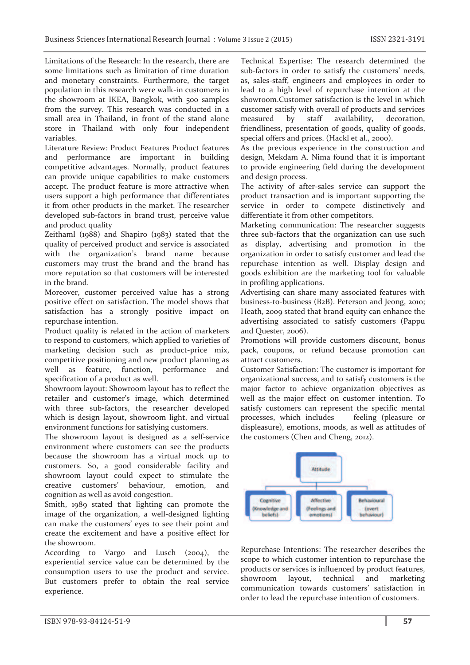Limitations of the Research: In the research, there are some limitations such as limitation of time duration and monetary constraints. Furthermore, the target population in this research were walk-in customers in the showroom at IKEA, Bangkok, with 500 samples from the survey. This research was conducted in a small area in Thailand, in front of the stand alone store in Thailand with only four independent variables.

Literature Review: Product Features Product features and performance are important in building competitive advantages. Normally, product features can provide unique capabilities to make customers accept. The product feature is more attractive when users support a high performance that differentiates it from other products in the market. The researcher developed sub-factors in brand trust, perceive value and product quality

Zeithaml (1988) and Shapiro (1983) stated that the quality of perceived product and service is associated with the organization's brand name because customers may trust the brand and the brand has more reputation so that customers will be interested in the brand.

Moreover, customer perceived value has a strong positive effect on satisfaction. The model shows that satisfaction has a strongly positive impact on repurchase intention.

Product quality is related in the action of marketers to respond to customers, which applied to varieties of marketing decision such as product-price mix, competitive positioning and new product planning as well as feature, function, performance and specification of a product as well.

Showroom layout: Showroom layout has to reflect the retailer and customer's image, which determined with three sub-factors, the researcher developed which is design layout, showroom light, and virtual environment functions for satisfying customers.

The showroom layout is designed as a self-service environment where customers can see the products because the showroom has a virtual mock up to customers. So, a good considerable facility and showroom layout could expect to stimulate the creative customers' behaviour, emotion, and cognition as well as avoid congestion.

Smith, 1989 stated that lighting can promote the image of the organization, a well-designed lighting can make the customers' eyes to see their point and create the excitement and have a positive effect for the showroom.

According to Vargo and Lusch (2004), the experiential service value can be determined by the consumption users to use the product and service. But customers prefer to obtain the real service experience.

Technical Expertise: The research determined the sub-factors in order to satisfy the customers' needs, as, sales-staff, engineers and employees in order to lead to a high level of repurchase intention at the showroom.Customer satisfaction is the level in which customer satisfy with overall of products and services measured by staff availability, decoration, friendliness, presentation of goods, quality of goods, special offers and prices. (Hackl et al., 2000).

As the previous experience in the construction and design, Mekdam A. Nima found that it is important to provide engineering field during the development and design process.

The activity of after-sales service can support the product transaction and is important supporting the service in order to compete distinctively and differentiate it from other competitors.

Marketing communication: The researcher suggests three sub-factors that the organization can use such as display, advertising and promotion in the organization in order to satisfy customer and lead the repurchase intention as well. Display design and goods exhibition are the marketing tool for valuable in profiling applications.

Advertising can share many associated features with business-to-business (B2B). Peterson and Jeong, 2010; Heath, 2009 stated that brand equity can enhance the advertising associated to satisfy customers (Pappu and Quester, 2006).

Promotions will provide customers discount, bonus pack, coupons, or refund because promotion can attract customers.

Customer Satisfaction: The customer is important for organizational success, and to satisfy customers is the major factor to achieve organization objectives as well as the major effect on customer intention. To satisfy customers can represent the specific mental processes, which includes feeling (pleasure or displeasure), emotions, moods, as well as attitudes of the customers (Chen and Cheng, 2012).



Repurchase Intentions: The researcher describes the scope to which customer intention to repurchase the products or services is influenced by product features, showroom layout, technical and marketing communication towards customers' satisfaction in order to lead the repurchase intention of customers.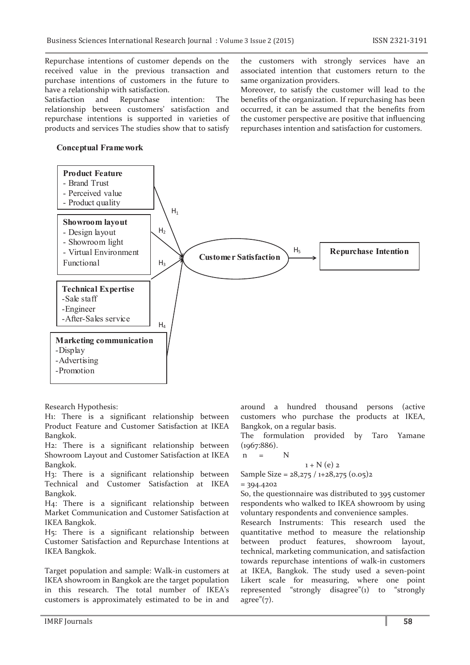Repurchase intentions of customer depends on the received value in the previous transaction and purchase intentions of customers in the future to have a relationship with satisfaction.

Satisfaction and Repurchase intention: The relationship between customers' satisfaction and repurchase intentions is supported in varieties of products and services The studies show that to satisfy

### **Conceptual Framework**

the customers with strongly services have an associated intention that customers return to the same organization providers.

Moreover, to satisfy the customer will lead to the benefits of the organization. If repurchasing has been occurred, it can be assumed that the benefits from the customer perspective are positive that influencing repurchases intention and satisfaction for customers.



Research Hypothesis:

H1: There is a significant relationship between Product Feature and Customer Satisfaction at IKEA Bangkok.

H2: There is a significant relationship between Showroom Layout and Customer Satisfaction at IKEA Bangkok.

H3: There is a significant relationship between Technical and Customer Satisfaction at IKEA Bangkok.

H4: There is a significant relationship between Market Communication and Customer Satisfaction at IKEA Bangkok.

H5: There is a significant relationship between Customer Satisfaction and Repurchase Intentions at IKEA Bangkok.

Target population and sample: Walk-in customers at IKEA showroom in Bangkok are the target population in this research. The total number of IKEA's customers is approximately estimated to be in and

IMRF Journals  $\parallel$  58

around a hundred thousand persons (active customers who purchase the products at IKEA, Bangkok, on a regular basis.

The formulation provided by Taro Yamane (1967:886).

 $n = N$ 

 $1 + N(e)$  2 Sample Size =  $28,275 / 1+28,275 (0.05)2$ 

 $= 394.4202$ 

So, the questionnaire was distributed to 395 customer respondents who walked to IKEA showroom by using voluntary respondents and convenience samples.

Research Instruments: This research used the quantitative method to measure the relationship between product features, showroom layout, technical, marketing communication, and satisfaction towards repurchase intentions of walk-in customers at IKEA, Bangkok. The study used a seven-point Likert scale for measuring, where one point represented "strongly disagree"(1) to "strongly agree" $(7)$ .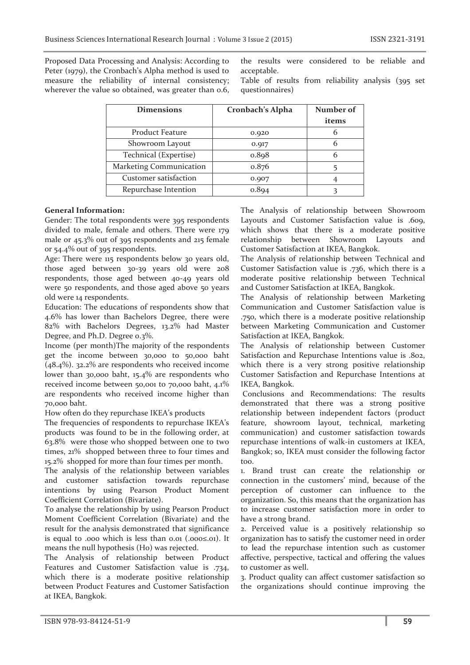Proposed Data Processing and Analysis: According to Peter (1979), the Cronbach's Alpha method is used to measure the reliability of internal consistency; wherever the value so obtained, was greater than 0.6, the results were considered to be reliable and acceptable.

Table of results from reliability analysis (395 set questionnaires)

| <b>Dimensions</b>       | Cronbach's Alpha | Number of |
|-------------------------|------------------|-----------|
|                         |                  | items     |
| Product Feature         | 0.920            |           |
| Showroom Layout         | 0.917            | 6         |
| Technical (Expertise)   | 0.898            | 6         |
| Marketing Communication | 0.876            |           |
| Customer satisfaction   | 0.907            |           |
| Repurchase Intention    | 0.894            |           |

#### **General Information:**

Gender: The total respondents were 395 respondents divided to male, female and others. There were 179 male or 45.3% out of 395 respondents and 215 female or 54.4% out of 395 respondents.

Age: There were 115 respondents below 30 years old, those aged between 30-39 years old were 208 respondents, those aged between 40-49 years old were 50 respondents, and those aged above 50 years old were 14 respondents.

Education: The educations of respondents show that 4.6% has lower than Bachelors Degree, there were 82% with Bachelors Degrees, 13.2% had Master Degree, and Ph.D. Degree 0.3%.

Income (per month)The majority of the respondents get the income between 30,000 to 50,000 baht (48.4%). 32.2% are respondents who received income lower than 30,000 baht, 15.4% are respondents who received income between 50,001 to 70,000 baht, 4.1% are respondents who received income higher than 70,000 baht.

How often do they repurchase IKEA's products

The frequencies of respondents to repurchase IKEA's products was found to be in the following order, at 63.8% were those who shopped between one to two times, 21% shopped between three to four times and 15.2% shopped for more than four times per month.

The analysis of the relationship between variables and customer satisfaction towards repurchase intentions by using Pearson Product Moment Coefficient Correlation (Bivariate).

To analyse the relationship by using Pearson Product Moment Coefficient Correlation (Bivariate) and the result for the analysis demonstrated that significance is equal to .000 which is less than 0.01 (.000≤.01). It means the null hypothesis (Ho) was rejected.

The Analysis of relationship between Product Features and Customer Satisfaction value is .734, which there is a moderate positive relationship between Product Features and Customer Satisfaction at IKEA, Bangkok.

The Analysis of relationship between Showroom Layouts and Customer Satisfaction value is .609, which shows that there is a moderate positive relationship between Showroom Layouts and Customer Satisfaction at IKEA, Bangkok.

The Analysis of relationship between Technical and Customer Satisfaction value is .736, which there is a moderate positive relationship between Technical and Customer Satisfaction at IKEA, Bangkok.

The Analysis of relationship between Marketing Communication and Customer Satisfaction value is .750, which there is a moderate positive relationship between Marketing Communication and Customer Satisfaction at IKEA, Bangkok.

The Analysis of relationship between Customer Satisfaction and Repurchase Intentions value is .802, which there is a very strong positive relationship Customer Satisfaction and Repurchase Intentions at IKEA, Bangkok.

 Conclusions and Recommendations: The results demonstrated that there was a strong positive relationship between independent factors (product feature, showroom layout, technical, marketing communication) and customer satisfaction towards repurchase intentions of walk-in customers at IKEA, Bangkok; so, IKEA must consider the following factor too.

1. Brand trust can create the relationship or connection in the customers' mind, because of the perception of customer can influence to the organization. So, this means that the organization has to increase customer satisfaction more in order to have a strong brand.

2. Perceived value is a positively relationship so organization has to satisfy the customer need in order to lead the repurchase intention such as customer affective, perspective, tactical and offering the values to customer as well.

3. Product quality can affect customer satisfaction so the organizations should continue improving the